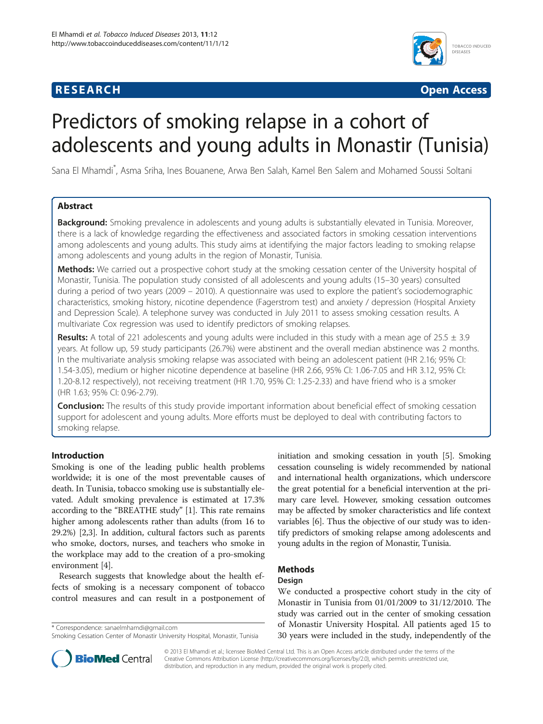# **RESEARCH RESEARCH** *CHECKER CHECKER CHECKER CHECKER CHECKER CHECKER CHECKER CHECKER CHECKER CHECKER CHECKER*



# Predictors of smoking relapse in a cohort of adolescents and young adults in Monastir (Tunisia)

Sana El Mhamdi\* , Asma Sriha, Ines Bouanene, Arwa Ben Salah, Kamel Ben Salem and Mohamed Soussi Soltani

# Abstract

Background: Smoking prevalence in adolescents and young adults is substantially elevated in Tunisia. Moreover, there is a lack of knowledge regarding the effectiveness and associated factors in smoking cessation interventions among adolescents and young adults. This study aims at identifying the major factors leading to smoking relapse among adolescents and young adults in the region of Monastir, Tunisia.

Methods: We carried out a prospective cohort study at the smoking cessation center of the University hospital of Monastir, Tunisia. The population study consisted of all adolescents and young adults (15–30 years) consulted during a period of two years (2009 – 2010). A questionnaire was used to explore the patient's sociodemographic characteristics, smoking history, nicotine dependence (Fagerstrom test) and anxiety / depression (Hospital Anxiety and Depression Scale). A telephone survey was conducted in July 2011 to assess smoking cessation results. A multivariate Cox regression was used to identify predictors of smoking relapses.

**Results:** A total of 221 adolescents and young adults were included in this study with a mean age of 25.5  $\pm$  3.9 years. At follow up, 59 study participants (26.7%) were abstinent and the overall median abstinence was 2 months. In the multivariate analysis smoking relapse was associated with being an adolescent patient (HR 2.16; 95% CI: 1.54-3.05), medium or higher nicotine dependence at baseline (HR 2.66, 95% CI: 1.06-7.05 and HR 3.12, 95% CI: 1.20-8.12 respectively), not receiving treatment (HR 1.70, 95% CI: 1.25-2.33) and have friend who is a smoker (HR 1.63; 95% CI: 0.96-2.79).

**Conclusion:** The results of this study provide important information about beneficial effect of smoking cessation support for adolescent and young adults. More efforts must be deployed to deal with contributing factors to smoking relapse.

# Introduction

Smoking is one of the leading public health problems worldwide; it is one of the most preventable causes of death. In Tunisia, tobacco smoking use is substantially elevated. Adult smoking prevalence is estimated at 17.3% according to the "BREATHE study" [\[1](#page-4-0)]. This rate remains higher among adolescents rather than adults (from 16 to 29.2%) [\[2,3\]](#page-4-0). In addition, cultural factors such as parents who smoke, doctors, nurses, and teachers who smoke in the workplace may add to the creation of a pro-smoking environment [[4](#page-4-0)].

Research suggests that knowledge about the health effects of smoking is a necessary component of tobacco control measures and can result in a postponement of

\* Correspondence: [sanaelmhamdi@gmail.com](mailto:sanaelmhamdi@gmail.com)

initiation and smoking cessation in youth [\[5](#page-4-0)]. Smoking cessation counseling is widely recommended by national and international health organizations, which underscore the great potential for a beneficial intervention at the primary care level. However, smoking cessation outcomes may be affected by smoker characteristics and life context variables [\[6](#page-4-0)]. Thus the objective of our study was to identify predictors of smoking relapse among adolescents and young adults in the region of Monastir, Tunisia.

# Methods

#### Design

We conducted a prospective cohort study in the city of Monastir in Tunisia from 01/01/2009 to 31/12/2010. The study was carried out in the center of smoking cessation of Monastir University Hospital. All patients aged 15 to 30 years were included in the study, independently of the



© 2013 El Mhamdi et al.; licensee BioMed Central Ltd. This is an Open Access article distributed under the terms of the Creative Commons Attribution License (<http://creativecommons.org/licenses/by/2.0>), which permits unrestricted use, distribution, and reproduction in any medium, provided the original work is properly cited.

Smoking Cessation Center of Monastir University Hospital, Monastir, Tunisia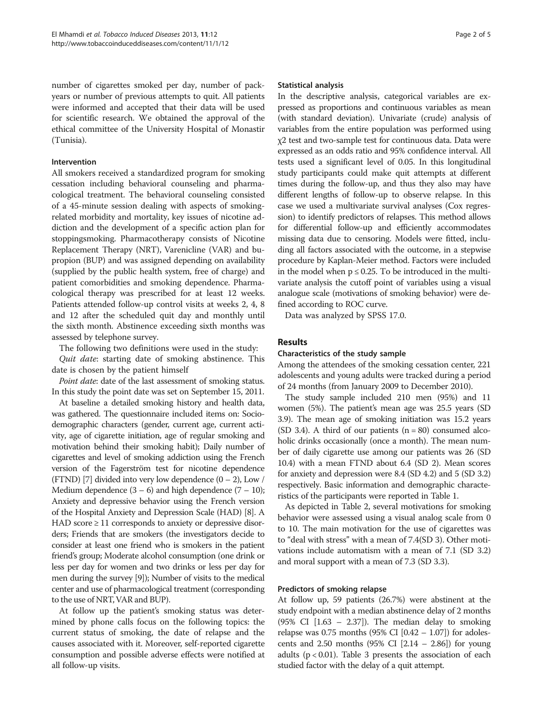number of cigarettes smoked per day, number of packyears or number of previous attempts to quit. All patients were informed and accepted that their data will be used for scientific research. We obtained the approval of the ethical committee of the University Hospital of Monastir (Tunisia).

#### Intervention

All smokers received a standardized program for smoking cessation including behavioral counseling and pharmacological treatment. The behavioral counseling consisted of a 45-minute session dealing with aspects of smokingrelated morbidity and mortality, key issues of nicotine addiction and the development of a specific action plan for stoppingsmoking. Pharmacotherapy consists of Nicotine Replacement Therapy (NRT), Varenicline (VAR) and bupropion (BUP) and was assigned depending on availability (supplied by the public health system, free of charge) and patient comorbidities and smoking dependence. Pharmacological therapy was prescribed for at least 12 weeks. Patients attended follow-up control visits at weeks 2, 4, 8 and 12 after the scheduled quit day and monthly until the sixth month. Abstinence exceeding sixth months was assessed by telephone survey.

The following two definitions were used in the study:

Quit date: starting date of smoking abstinence. This date is chosen by the patient himself

Point date: date of the last assessment of smoking status. In this study the point date was set on September 15, 2011.

At baseline a detailed smoking history and health data, was gathered. The questionnaire included items on: Sociodemographic characters (gender, current age, current activity, age of cigarette initiation, age of regular smoking and motivation behind their smoking habit); Daily number of cigarettes and level of smoking addiction using the French version of the Fagerström test for nicotine dependence (FTND) [[7](#page-4-0)] divided into very low dependence  $(0 - 2)$ , Low / Medium dependence  $(3 - 6)$  and high dependence  $(7 - 10)$ ; Anxiety and depressive behavior using the French version of the Hospital Anxiety and Depression Scale (HAD) [\[8\]](#page-4-0). A HAD score  $\geq$  11 corresponds to anxiety or depressive disorders; Friends that are smokers (the investigators decide to consider at least one friend who is smokers in the patient friend's group; Moderate alcohol consumption (one drink or less per day for women and two drinks or less per day for men during the survey [\[9\]](#page-4-0)); Number of visits to the medical center and use of pharmacological treatment (corresponding to the use of NRT, VAR and BUP).

At follow up the patient's smoking status was determined by phone calls focus on the following topics: the current status of smoking, the date of relapse and the causes associated with it. Moreover, self-reported cigarette consumption and possible adverse effects were notified at all follow-up visits.

#### Statistical analysis

In the descriptive analysis, categorical variables are expressed as proportions and continuous variables as mean (with standard deviation). Univariate (crude) analysis of variables from the entire population was performed using χ2 test and two-sample test for continuous data. Data were expressed as an odds ratio and 95% confidence interval. All tests used a significant level of 0.05. In this longitudinal study participants could make quit attempts at different times during the follow-up, and thus they also may have different lengths of follow-up to observe relapse. In this case we used a multivariate survival analyses (Cox regression) to identify predictors of relapses. This method allows for differential follow-up and efficiently accommodates missing data due to censoring. Models were fitted, including all factors associated with the outcome, in a stepwise procedure by Kaplan-Meier method. Factors were included in the model when  $p \le 0.25$ . To be introduced in the multivariate analysis the cutoff point of variables using a visual analogue scale (motivations of smoking behavior) were defined according to ROC curve.

Data was analyzed by SPSS 17.0.

# Results

#### Characteristics of the study sample

Among the attendees of the smoking cessation center, 221 adolescents and young adults were tracked during a period of 24 months (from January 2009 to December 2010).

The study sample included 210 men (95%) and 11 women (5%). The patient's mean age was 25.5 years (SD 3.9). The mean age of smoking initiation was 15.2 years (SD 3.4). A third of our patients  $(n = 80)$  consumed alcoholic drinks occasionally (once a month). The mean number of daily cigarette use among our patients was 26 (SD 10.4) with a mean FTND about 6.4 (SD 2). Mean scores for anxiety and depression were 8.4 (SD 4.2) and 5 (SD 3.2) respectively. Basic information and demographic characteristics of the participants were reported in Table [1](#page-2-0).

As depicted in Table [2](#page-2-0), several motivations for smoking behavior were assessed using a visual analog scale from 0 to 10. The main motivation for the use of cigarettes was to "deal with stress" with a mean of 7.4(SD 3). Other motivations include automatism with a mean of 7.1 (SD 3.2) and moral support with a mean of 7.3 (SD 3.3).

#### Predictors of smoking relapse

At follow up, 59 patients (26.7%) were abstinent at the study endpoint with a median abstinence delay of 2 months  $(95\% \text{ CI} [1.63 - 2.37])$ . The median delay to smoking relapse was 0.75 months (95% CI  $[0.42 - 1.07]$ ) for adolescents and 2.50 months  $(95\% \text{ CI} [2.14 - 2.86])$  for young adults ( $p < 0.01$ ). Table [3](#page-3-0) presents the association of each studied factor with the delay of a quit attempt.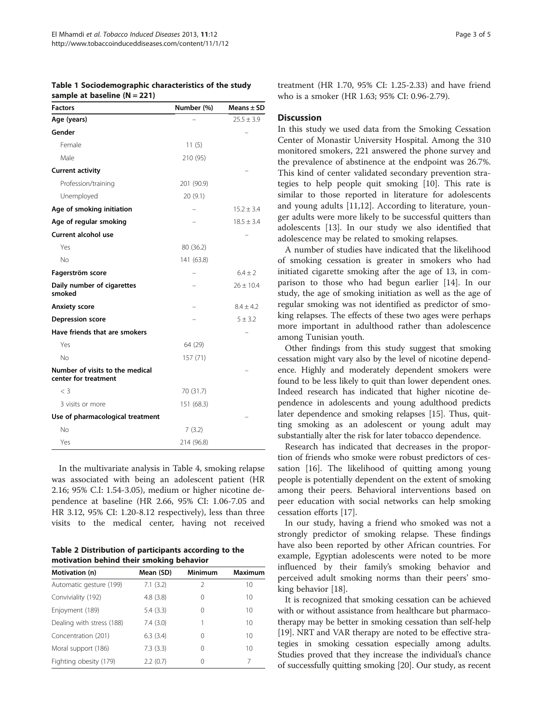sample at baseline (N = 221)

<span id="page-2-0"></span>Table 1 Sociodemographic characteristics of the study

| <b>Factors</b>                                          | Number (%) | Means $\pm$ SD |
|---------------------------------------------------------|------------|----------------|
| Age (years)                                             |            | $25.5 \pm 3.9$ |
| Gender                                                  |            |                |
| Female                                                  | 11(5)      |                |
| Male                                                    | 210 (95)   |                |
| <b>Current activity</b>                                 |            |                |
| Profession/training                                     | 201 (90.9) |                |
| Unemployed                                              | 20(9.1)    |                |
| Age of smoking initiation                               |            | $15.2 \pm 3.4$ |
| Age of regular smoking                                  |            | $18.5 \pm 3.4$ |
| <b>Current alcohol use</b>                              |            |                |
| Yes                                                     | 80 (36.2)  |                |
| No                                                      | 141 (63.8) |                |
| Fagerström score                                        |            | $6.4 \pm 2$    |
| Daily number of cigarettes<br>smoked                    |            | $26 \pm 10.4$  |
| <b>Anxiety score</b>                                    |            | $8.4 \pm 4.2$  |
| <b>Depression score</b>                                 |            | 5 ± 3.2        |
| Have friends that are smokers                           |            |                |
| Yes                                                     | 64 (29)    |                |
| No                                                      | 157 (71)   |                |
| Number of visits to the medical<br>center for treatment |            |                |
| $\langle$ 3                                             | 70 (31.7)  |                |
| 3 visits or more                                        | 151 (68.3) |                |
| Use of pharmacological treatment                        |            |                |
| No                                                      | 7(3.2)     |                |
| Yes                                                     | 214 (96.8) |                |

In the multivariate analysis in Table [4](#page-3-0), smoking relapse

was associated with being an adolescent patient (HR 2.16; 95% C.I: 1.54-3.05), medium or higher nicotine dependence at baseline (HR 2.66, 95% CI: 1.06-7.05 and HR 3.12, 95% CI: 1.20-8.12 respectively), less than three visits to the medical center, having not received

Table 2 Distribution of participants according to the motivation behind their smoking behavior

| Motivation (n)            | Mean (SD) | <b>Minimum</b> | Maximum |
|---------------------------|-----------|----------------|---------|
| Automatic gesture (199)   | 7.1(3.2)  | 2              | 10      |
| Conviviality (192)        | 4.8(3.8)  | 0              | 10      |
| Enjoyment (189)           | 5.4(3.3)  | 0              | 10      |
| Dealing with stress (188) | 7.4(3.0)  | 1              | 10      |
| Concentration (201)       | 6.3(3.4)  | 0              | 10      |
| Moral support (186)       | 7.3(3.3)  | 0              | 10      |
| Fighting obesity (179)    | 2.2(0.7)  | 0              | 7       |

treatment (HR 1.70, 95% CI: 1.25-2.33) and have friend who is a smoker (HR 1.63; 95% CI: 0.96-2.79).

# **Discussion**

In this study we used data from the Smoking Cessation Center of Monastir University Hospital. Among the 310 monitored smokers, 221 answered the phone survey and the prevalence of abstinence at the endpoint was 26.7%. This kind of center validated secondary prevention strategies to help people quit smoking [\[10\]](#page-4-0). This rate is similar to those reported in literature for adolescents and young adults [\[11,12\]](#page-4-0). According to literature, younger adults were more likely to be successful quitters than adolescents [[13\]](#page-4-0). In our study we also identified that adolescence may be related to smoking relapses.

A number of studies have indicated that the likelihood of smoking cessation is greater in smokers who had initiated cigarette smoking after the age of 13, in comparison to those who had begun earlier [[14](#page-4-0)]. In our study, the age of smoking initiation as well as the age of regular smoking was not identified as predictor of smoking relapses. The effects of these two ages were perhaps more important in adulthood rather than adolescence among Tunisian youth.

Other findings from this study suggest that smoking cessation might vary also by the level of nicotine dependence. Highly and moderately dependent smokers were found to be less likely to quit than lower dependent ones. Indeed research has indicated that higher nicotine dependence in adolescents and young adulthood predicts later dependence and smoking relapses [[15](#page-4-0)]. Thus, quitting smoking as an adolescent or young adult may substantially alter the risk for later tobacco dependence.

Research has indicated that decreases in the proportion of friends who smoke were robust predictors of cessation [\[16](#page-4-0)]. The likelihood of quitting among young people is potentially dependent on the extent of smoking among their peers. Behavioral interventions based on peer education with social networks can help smoking cessation efforts [[17\]](#page-4-0).

In our study, having a friend who smoked was not a strongly predictor of smoking relapse. These findings have also been reported by other African countries. For example, Egyptian adolescents were noted to be more influenced by their family's smoking behavior and perceived adult smoking norms than their peers' smoking behavior [\[18](#page-4-0)].

It is recognized that smoking cessation can be achieved with or without assistance from healthcare but pharmacotherapy may be better in smoking cessation than self-help [[19](#page-4-0)]. NRT and VAR therapy are noted to be effective strategies in smoking cessation especially among adults. Studies proved that they increase the individual's chance of successfully quitting smoking [\[20\]](#page-4-0). Our study, as recent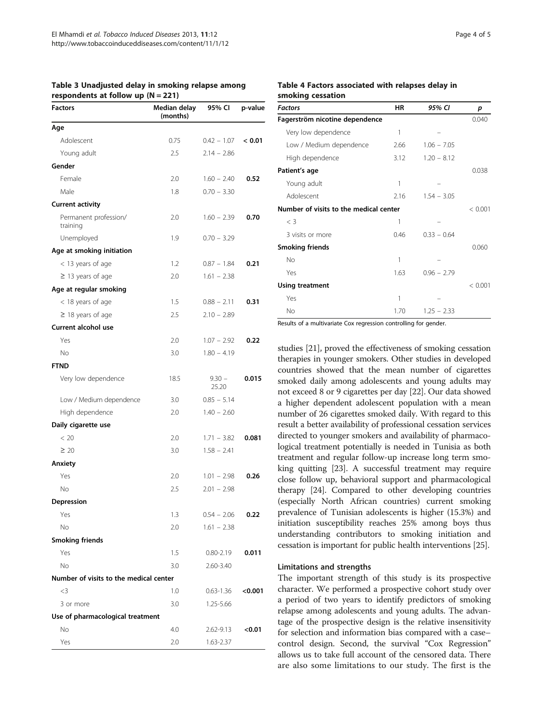| <b>Factors</b>                         | <br>Median delay<br>(months) | 95% CI            | p-value |
|----------------------------------------|------------------------------|-------------------|---------|
| Age                                    |                              |                   |         |
| Adolescent                             | 0.75                         | $0.42 - 1.07$     | < 0.01  |
| Young adult                            | 2.5                          | $2.14 - 2.86$     |         |
| Gender                                 |                              |                   |         |
| Female                                 | 2.0                          | $1.60 - 2.40$     | 0.52    |
| Male                                   | 1.8                          | $0.70 - 3.30$     |         |
| <b>Current activity</b>                |                              |                   |         |
| Permanent profession/<br>training      | 2.0                          | $1.60 - 2.39$     | 0.70    |
| Unemployed                             | 1.9                          | $0.70 - 3.29$     |         |
| Age at smoking initiation              |                              |                   |         |
| < 13 years of age                      | 1.2                          | $0.87 - 1.84$     | 0.21    |
| $\geq$ 13 years of age                 | 2.0                          | $1.61 - 2.38$     |         |
| Age at regular smoking                 |                              |                   |         |
| < 18 years of age                      | 1.5                          | $0.88 - 2.11$     | 0.31    |
| $\geq$ 18 years of age                 | 2.5                          | $2.10 - 2.89$     |         |
| <b>Current alcohol use</b>             |                              |                   |         |
| Yes                                    | 2.0                          | $1.07 - 2.92$     | 0.22    |
| No                                     | 3.0                          | $1.80 - 4.19$     |         |
| <b>FTND</b>                            |                              |                   |         |
| Very low dependence                    | 18.5                         | $9.30 -$<br>25.20 | 0.015   |
| Low / Medium dependence                | 3.0                          | $0.85 - 5.14$     |         |
| High dependence                        | 2.0                          | $1.40 - 2.60$     |         |
| Daily cigarette use                    |                              |                   |         |
| < 20                                   | 2.0                          | $1.71 - 3.82$     | 0.081   |
| $\geq 20$                              | 3.0                          | $1.58 - 2.41$     |         |
| Anxiety                                |                              |                   |         |
| Yes                                    | 2.0                          | $1.01 - 2.98$     | 0.26    |
| No                                     | 2.5                          | $2.01 - 2.98$     |         |
| Depression                             |                              |                   |         |
| Yes                                    | 1.3                          | $0.54 - 2.06$     | 0.22    |
| Νo                                     | 2.0                          | $1.61 - 2.38$     |         |
| <b>Smoking friends</b>                 |                              |                   |         |
| Yes                                    | 1.5                          | 0.80-2.19         | 0.011   |
| No                                     | 3.0                          | 2.60-3.40         |         |
| Number of visits to the medical center |                              |                   |         |
| $<$ 3                                  | 1.0                          | $0.63 - 1.36$     | < 0.001 |
| 3 or more                              | 3.0                          | 1.25-5.66         |         |
| Use of pharmacological treatment       |                              |                   |         |
| Νo                                     | 4.0                          | 2.62-9.13         | < 0.01  |
| Yes                                    | 2.0                          | 1.63-2.37         |         |

<span id="page-3-0"></span>Table 3 Unadjusted delay in smoking relapse among respondents at follow up  $(N = 221)$ 

#### Table 4 Factors associated with relapses delay in smoking cessation

| <b>Factors</b>                         | ΗR   | 95% CI        | p       |
|----------------------------------------|------|---------------|---------|
| Fagerström nicotine dependence         |      |               | 0.040   |
| Very low dependence                    | 1    |               |         |
| Low / Medium dependence                | 2.66 | $1.06 - 7.05$ |         |
| High dependence                        | 3.12 | $1.20 - 8.12$ |         |
| Patient's age                          |      |               | 0.038   |
| Young adult                            | 1    |               |         |
| Adolescent                             | 2.16 | $1.54 - 3.05$ |         |
| Number of visits to the medical center |      |               |         |
| $\langle$ 3                            | 1    |               |         |
| 3 visits or more                       | 0.46 | $0.33 - 0.64$ |         |
| <b>Smoking friends</b>                 |      |               | 0.060   |
| No                                     | 1    |               |         |
| Yes                                    | 1.63 | $0.96 - 2.79$ |         |
| <b>Using treatment</b>                 |      |               | < 0.001 |
| Yes                                    | 1    |               |         |
| <b>No</b>                              | 1.70 | $1.25 - 2.33$ |         |

Results of a multivariate Cox regression controlling for gender.

studies [\[21\]](#page-4-0), proved the effectiveness of smoking cessation therapies in younger smokers. Other studies in developed countries showed that the mean number of cigarettes smoked daily among adolescents and young adults may not exceed 8 or 9 cigarettes per day [\[22\]](#page-4-0). Our data showed a higher dependent adolescent population with a mean number of 26 cigarettes smoked daily. With regard to this result a better availability of professional cessation services directed to younger smokers and availability of pharmacological treatment potentially is needed in Tunisia as both treatment and regular follow-up increase long term smoking quitting [[23](#page-4-0)]. A successful treatment may require close follow up, behavioral support and pharmacological therapy [\[24](#page-4-0)]. Compared to other developing countries (especially North African countries) current smoking prevalence of Tunisian adolescents is higher (15.3%) and initiation susceptibility reaches 25% among boys thus understanding contributors to smoking initiation and cessation is important for public health interventions [\[25\]](#page-4-0).

#### Limitations and strengths

The important strength of this study is its prospective character. We performed a prospective cohort study over a period of two years to identify predictors of smoking relapse among adolescents and young adults. The advantage of the prospective design is the relative insensitivity for selection and information bias compared with a case– control design. Second, the survival "Cox Regression" allows us to take full account of the censored data. There are also some limitations to our study. The first is the